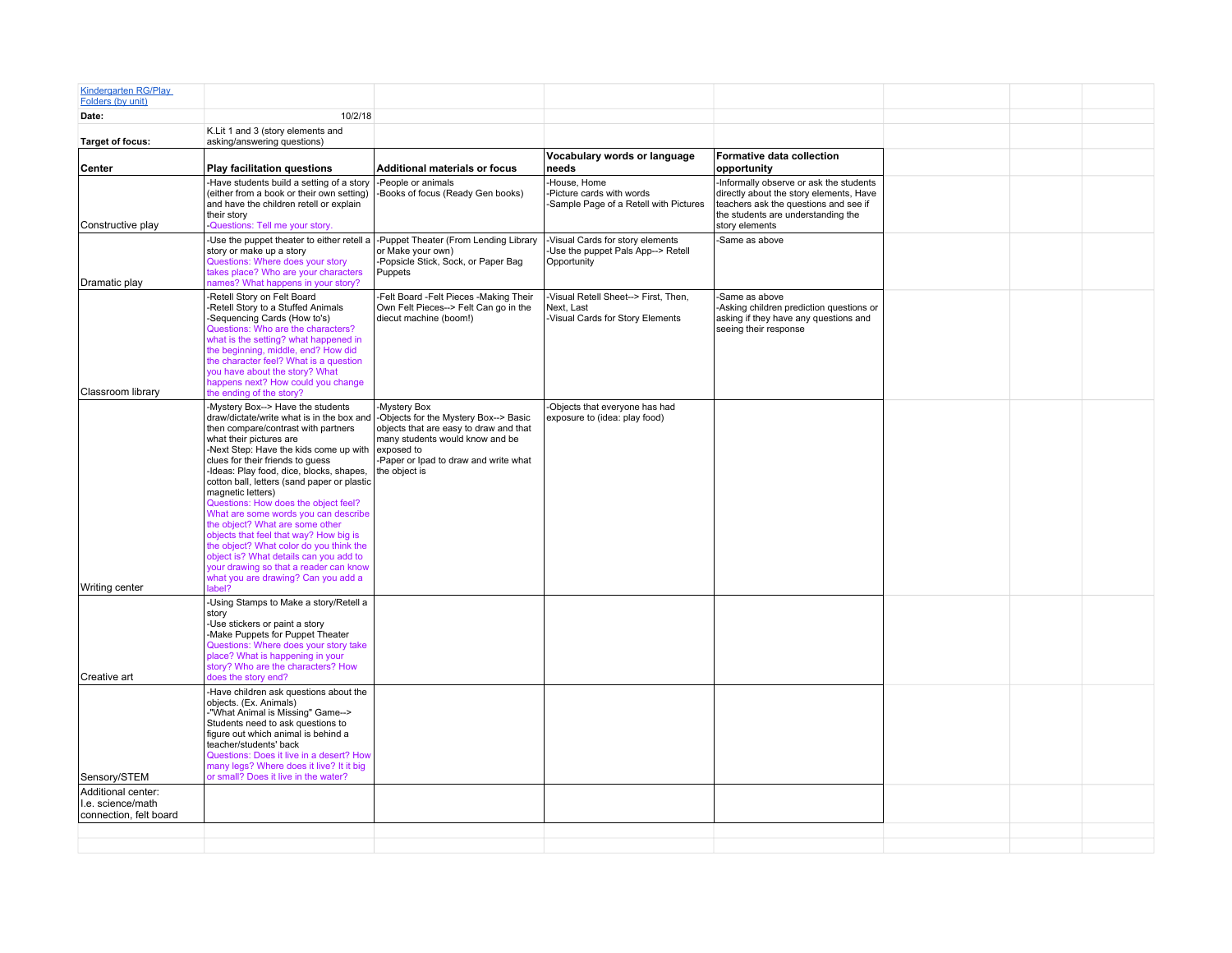| <b>Kindergarten RG/Play</b><br>Folders (by unit)                  |                                                                                                                                                                                                                                                                                                                                                                                                                                                                                                                                                                                                                                                                                                               |                                                                                                                                                                                                            |                                                                                       |                                                                                                                                                                                     |  |  |
|-------------------------------------------------------------------|---------------------------------------------------------------------------------------------------------------------------------------------------------------------------------------------------------------------------------------------------------------------------------------------------------------------------------------------------------------------------------------------------------------------------------------------------------------------------------------------------------------------------------------------------------------------------------------------------------------------------------------------------------------------------------------------------------------|------------------------------------------------------------------------------------------------------------------------------------------------------------------------------------------------------------|---------------------------------------------------------------------------------------|-------------------------------------------------------------------------------------------------------------------------------------------------------------------------------------|--|--|
| Date:                                                             | 10/2/18                                                                                                                                                                                                                                                                                                                                                                                                                                                                                                                                                                                                                                                                                                       |                                                                                                                                                                                                            |                                                                                       |                                                                                                                                                                                     |  |  |
| <b>Target of focus:</b>                                           | K.Lit 1 and 3 (story elements and<br>asking/answering questions)                                                                                                                                                                                                                                                                                                                                                                                                                                                                                                                                                                                                                                              |                                                                                                                                                                                                            |                                                                                       |                                                                                                                                                                                     |  |  |
| Center                                                            | <b>Play facilitation questions</b>                                                                                                                                                                                                                                                                                                                                                                                                                                                                                                                                                                                                                                                                            | <b>Additional materials or focus</b>                                                                                                                                                                       | Vocabulary words or language<br>needs                                                 | Formative data collection<br>opportunity                                                                                                                                            |  |  |
| Constructive play                                                 | -Have students build a setting of a story<br>(either from a book or their own setting)<br>and have the children retell or explain<br>their story<br>-Questions: Tell me your story.                                                                                                                                                                                                                                                                                                                                                                                                                                                                                                                           | -People or animals<br>-Books of focus (Ready Gen books)                                                                                                                                                    | -House, Home<br>-Picture cards with words<br>-Sample Page of a Retell with Pictures   | -Informally observe or ask the students<br>directly about the story elements, Have<br>teachers ask the questions and see if<br>the students are understanding the<br>story elements |  |  |
| Dramatic play                                                     | -Use the puppet theater to either retell a<br>story or make up a story<br>Questions: Where does your story<br>takes place? Who are your characters<br>names? What happens in your story?                                                                                                                                                                                                                                                                                                                                                                                                                                                                                                                      | -Puppet Theater (From Lending Library<br>or Make your own)<br>-Popsicle Stick, Sock, or Paper Bag<br>Puppets                                                                                               | -Visual Cards for story elements<br>-Use the puppet Pals App--> Retell<br>Opportunity | -Same as above                                                                                                                                                                      |  |  |
|                                                                   | Retell Story on Felt Board<br>-Retell Story to a Stuffed Animals<br>-Sequencing Cards (How to's)<br>Questions: Who are the characters?<br>what is the setting? what happened in<br>the beginning, middle, end? How did<br>the character feel? What is a question<br>you have about the story? What<br>happens next? How could you change                                                                                                                                                                                                                                                                                                                                                                      | -Felt Board -Felt Pieces -Making Their<br>Own Felt Pieces--> Felt Can go in the<br>diecut machine (boom!)                                                                                                  | Visual Retell Sheet--> First. Then.<br>Next. Last<br>-Visual Cards for Story Elements | Same as above<br>Asking children prediction questions or<br>asking if they have any questions and<br>seeing their response                                                          |  |  |
| Classroom library                                                 | the ending of the story?<br>-Mystery Box--> Have the students<br>draw/dictate/write what is in the box and<br>then compare/contrast with partners<br>what their pictures are<br>-Next Step: Have the kids come up with<br>clues for their friends to quess<br>-Ideas: Play food, dice, blocks, shapes,<br>cotton ball, letters (sand paper or plastic<br>magnetic letters)<br>Questions: How does the object feel?<br>What are some words you can describe<br>the object? What are some other<br>objects that feel that way? How big is<br>the object? What color do you think the<br>object is? What details can you add to<br>your drawing so that a reader can know<br>what you are drawing? Can you add a | -Mystery Box<br>-Objects for the Mystery Box--> Basic<br>objects that are easy to draw and that<br>many students would know and be<br>exposed to<br>-Paper or Ipad to draw and write what<br>the object is | -Objects that everyone has had<br>exposure to (idea: play food)                       |                                                                                                                                                                                     |  |  |
| Writing center<br>Creative art                                    | label?<br>-Using Stamps to Make a story/Retell a<br>story<br>-Use stickers or paint a story<br>-Make Puppets for Puppet Theater<br>Questions: Where does your story take<br>place? What is happening in your<br>story? Who are the characters? How<br>does the story end?                                                                                                                                                                                                                                                                                                                                                                                                                                     |                                                                                                                                                                                                            |                                                                                       |                                                                                                                                                                                     |  |  |
| Sensory/STEM                                                      | -Have children ask questions about the<br>objects. (Ex. Animals)<br>-"What Animal is Missing" Game--><br>Students need to ask questions to<br>figure out which animal is behind a<br>teacher/students' back<br>Questions: Does it live in a desert? How<br>many legs? Where does it live? It it big<br>or small? Does it live in the water?                                                                                                                                                                                                                                                                                                                                                                   |                                                                                                                                                                                                            |                                                                                       |                                                                                                                                                                                     |  |  |
| Additional center:<br>I.e. science/math<br>connection, felt board |                                                                                                                                                                                                                                                                                                                                                                                                                                                                                                                                                                                                                                                                                                               |                                                                                                                                                                                                            |                                                                                       |                                                                                                                                                                                     |  |  |
|                                                                   |                                                                                                                                                                                                                                                                                                                                                                                                                                                                                                                                                                                                                                                                                                               |                                                                                                                                                                                                            |                                                                                       |                                                                                                                                                                                     |  |  |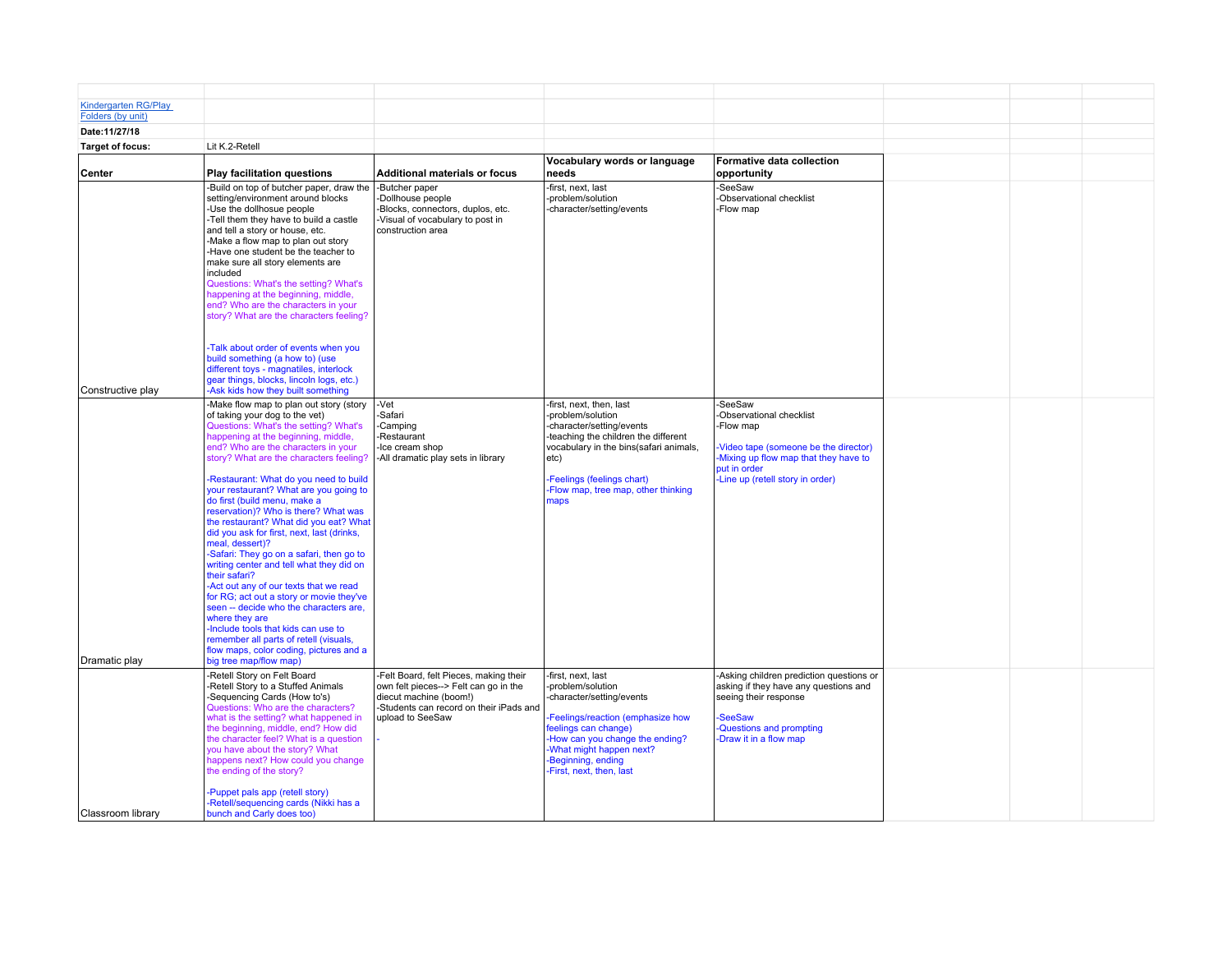| <b>Kindergarten RG/Play</b><br>Folders (by unit) |                                                                                                                                                                                                                                                                                                                                                                                                                                                                                                                                                                                                                                                                                     |                                                                                                                                                                          |                                                                                                                                                                                                                                                 |                                                                                                                                                                                  |  |  |
|--------------------------------------------------|-------------------------------------------------------------------------------------------------------------------------------------------------------------------------------------------------------------------------------------------------------------------------------------------------------------------------------------------------------------------------------------------------------------------------------------------------------------------------------------------------------------------------------------------------------------------------------------------------------------------------------------------------------------------------------------|--------------------------------------------------------------------------------------------------------------------------------------------------------------------------|-------------------------------------------------------------------------------------------------------------------------------------------------------------------------------------------------------------------------------------------------|----------------------------------------------------------------------------------------------------------------------------------------------------------------------------------|--|--|
| Date: 11/27/18                                   |                                                                                                                                                                                                                                                                                                                                                                                                                                                                                                                                                                                                                                                                                     |                                                                                                                                                                          |                                                                                                                                                                                                                                                 |                                                                                                                                                                                  |  |  |
| <b>Target of focus:</b>                          | Lit K.2-Retell                                                                                                                                                                                                                                                                                                                                                                                                                                                                                                                                                                                                                                                                      |                                                                                                                                                                          |                                                                                                                                                                                                                                                 |                                                                                                                                                                                  |  |  |
| Center                                           | <b>Play facilitation questions</b>                                                                                                                                                                                                                                                                                                                                                                                                                                                                                                                                                                                                                                                  | <b>Additional materials or focus</b>                                                                                                                                     | Vocabulary words or language<br>needs                                                                                                                                                                                                           | <b>Formative data collection</b><br>opportunity                                                                                                                                  |  |  |
|                                                  | -Build on top of butcher paper, draw the<br>setting/environment around blocks<br>-Use the dollhosue people<br>-Tell them they have to build a castle<br>and tell a story or house, etc.<br>-Make a flow map to plan out story<br>-Have one student be the teacher to<br>make sure all story elements are<br>included<br>Questions: What's the setting? What's<br>happening at the beginning, middle,<br>end? Who are the characters in your<br>story? What are the characters feeling?<br>-Talk about order of events when you<br>build something (a how to) (use<br>different toys - magnatiles, interlock<br>gear things, blocks, lincoln logs, etc.)                             | -Butcher paper<br>-Dollhouse people<br>-Blocks, connectors, duplos, etc.<br>-Visual of vocabulary to post in<br>construction area                                        | -first, next, last<br>-problem/solution<br>-character/setting/events                                                                                                                                                                            | -SeeSaw<br>-Observational checklist<br>-Flow map                                                                                                                                 |  |  |
| Constructive play                                | -Ask kids how they built something<br>-Make flow map to plan out story (story<br>of taking your dog to the vet)                                                                                                                                                                                                                                                                                                                                                                                                                                                                                                                                                                     | -Vet<br>-Safari                                                                                                                                                          | -first, next, then, last<br>-problem/solution                                                                                                                                                                                                   | -SeeSaw<br>-Observational checklist                                                                                                                                              |  |  |
|                                                  | Questions: What's the setting? What's<br>happening at the beginning, middle,<br>end? Who are the characters in your<br>story? What are the characters feeling?                                                                                                                                                                                                                                                                                                                                                                                                                                                                                                                      | -Camping<br>-Restaurant<br>-Ice cream shop<br>-All dramatic play sets in library                                                                                         | -character/setting/events<br>-teaching the children the different<br>vocabulary in the bins(safari animals,<br>etc)                                                                                                                             | -Flow map<br>Video tape (someone be the director)<br>-Mixing up flow map that they have to<br>put in order                                                                       |  |  |
| Dramatic play                                    | Restaurant: What do you need to build<br>your restaurant? What are you going to<br>do first (build menu, make a<br>reservation)? Who is there? What was<br>the restaurant? What did you eat? What<br>did you ask for first, next, last (drinks,<br>meal, dessert)?<br>-Safari: They go on a safari, then go to<br>writing center and tell what they did on<br>their safari?<br>-Act out any of our texts that we read<br>for RG; act out a story or movie they've<br>seen -- decide who the characters are,<br>where they are<br>-Include tools that kids can use to<br>remember all parts of retell (visuals,<br>flow maps, color coding, pictures and a<br>big tree map/flow map) |                                                                                                                                                                          | Feelings (feelings chart)<br>-Flow map, tree map, other thinking<br>maps                                                                                                                                                                        | -Line up (retell story in order)                                                                                                                                                 |  |  |
|                                                  | Retell Story on Felt Board<br>-Retell Story to a Stuffed Animals<br>-Sequencing Cards (How to's)<br>Questions: Who are the characters?<br>what is the setting? what happened in<br>the beginning, middle, end? How did<br>the character feel? What is a question<br>you have about the story? What<br>happens next? How could you change<br>the ending of the story?                                                                                                                                                                                                                                                                                                                | -Felt Board, felt Pieces, making their<br>own felt pieces--> Felt can go in the<br>diecut machine (boom!)<br>-Students can record on their iPads and<br>upload to SeeSaw | -first, next, last<br>-problem/solution<br>-character/setting/events<br>Feelings/reaction (emphasize how<br>feelings can change)<br>How can you change the ending?<br>What might happen next?<br>-Beginning, ending<br>-First, next, then, last | -Asking children prediction questions or<br>asking if they have any questions and<br>seeing their response<br><b>SeeSaw</b><br>Questions and prompting<br>-Draw it in a flow map |  |  |
| Classroom library                                | Puppet pals app (retell story)<br>Retell/sequencing cards (Nikki has a<br>bunch and Carly does too)                                                                                                                                                                                                                                                                                                                                                                                                                                                                                                                                                                                 |                                                                                                                                                                          |                                                                                                                                                                                                                                                 |                                                                                                                                                                                  |  |  |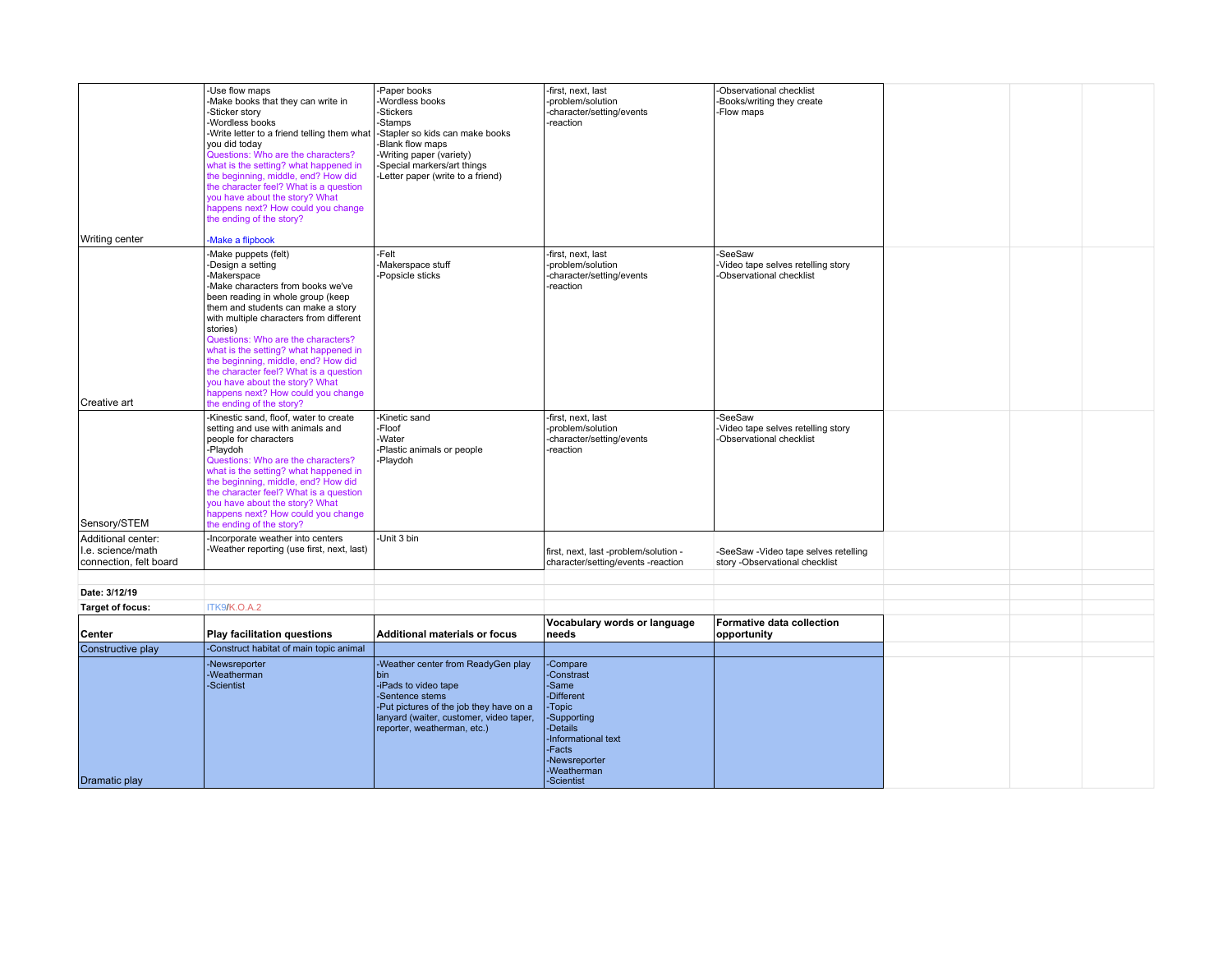|                                         | -Use flow maps<br>-Make books that they can write in<br>-Sticker story<br>Wordless books<br>-Write letter to a friend telling them what<br>you did today<br>Questions: Who are the characters?<br>what is the setting? what happened in<br>the beginning, middle, end? How did<br>the character feel? What is a question<br>you have about the story? What<br>happens next? How could you change<br>the ending of the story?                                                                      | -Paper books<br>-Wordless books<br>-Stickers<br>-Stamps<br>-Stapler so kids can make books<br>-Blank flow maps<br>-Writing paper (variety)<br>-Special markers/art things<br>-Letter paper (write to a friend) | -first, next, last<br>-problem/solution<br>-character/setting/events<br>-reaction                                                                                 | -Observational checklist<br>-Books/writing they create<br>-Flow maps      |  |  |
|-----------------------------------------|---------------------------------------------------------------------------------------------------------------------------------------------------------------------------------------------------------------------------------------------------------------------------------------------------------------------------------------------------------------------------------------------------------------------------------------------------------------------------------------------------|----------------------------------------------------------------------------------------------------------------------------------------------------------------------------------------------------------------|-------------------------------------------------------------------------------------------------------------------------------------------------------------------|---------------------------------------------------------------------------|--|--|
| Writing center                          | Make a flipbook                                                                                                                                                                                                                                                                                                                                                                                                                                                                                   |                                                                                                                                                                                                                |                                                                                                                                                                   |                                                                           |  |  |
| Creative art                            | Make puppets (felt)<br>Design a setting<br>-Makerspace<br>-Make characters from books we've<br>been reading in whole group (keep<br>them and students can make a story<br>with multiple characters from different<br>stories)<br>Questions: Who are the characters?<br>what is the setting? what happened in<br>the beginning, middle, end? How did<br>the character feel? What is a question<br>you have about the story? What<br>happens next? How could you change<br>the ending of the story? | -Felt<br>-Makerspace stuff<br>-Popsicle sticks                                                                                                                                                                 | -first, next, last<br>-problem/solution<br>-character/setting/events<br>-reaction                                                                                 | -SeeSaw<br>-Video tape selves retelling story<br>-Observational checklist |  |  |
| Sensory/STEM                            | -Kinestic sand, floof, water to create<br>setting and use with animals and<br>people for characters<br>-Playdoh<br>Questions: Who are the characters?<br>what is the setting? what happened in<br>the beginning, middle, end? How did<br>the character feel? What is a question<br>you have about the story? What<br>happens next? How could you change<br>the ending of the story?                                                                                                               | -Kinetic sand<br>-Floof<br>-Water<br>-Plastic animals or people<br>-Playdoh                                                                                                                                    | -first, next, last<br>-problem/solution<br>-character/setting/events<br>-reaction                                                                                 | -SeeSaw<br>Video tape selves retelling story<br>-Observational checklist  |  |  |
| Additional center:<br>I.e. science/math | Incorporate weather into centers<br>-Weather reporting (use first, next, last)                                                                                                                                                                                                                                                                                                                                                                                                                    | -Unit 3 bin                                                                                                                                                                                                    | first, next, last -problem/solution -                                                                                                                             | -SeeSaw -Video tape selves retelling                                      |  |  |
| connection, felt board                  |                                                                                                                                                                                                                                                                                                                                                                                                                                                                                                   |                                                                                                                                                                                                                | character/setting/events -reaction                                                                                                                                | story -Observational checklist                                            |  |  |
| Date: 3/12/19                           |                                                                                                                                                                                                                                                                                                                                                                                                                                                                                                   |                                                                                                                                                                                                                |                                                                                                                                                                   |                                                                           |  |  |
| Target of focus:                        | ITK9/K.O.A.2                                                                                                                                                                                                                                                                                                                                                                                                                                                                                      |                                                                                                                                                                                                                |                                                                                                                                                                   |                                                                           |  |  |
|                                         |                                                                                                                                                                                                                                                                                                                                                                                                                                                                                                   |                                                                                                                                                                                                                | Vocabulary words or language                                                                                                                                      | Formative data collection                                                 |  |  |
| Center                                  | <b>Play facilitation questions</b>                                                                                                                                                                                                                                                                                                                                                                                                                                                                | <b>Additional materials or focus</b>                                                                                                                                                                           | needs                                                                                                                                                             | opportunity                                                               |  |  |
| Constructive play                       | -Construct habitat of main topic animal                                                                                                                                                                                                                                                                                                                                                                                                                                                           |                                                                                                                                                                                                                |                                                                                                                                                                   |                                                                           |  |  |
| Dramatic play                           | -Newsreporter<br>-Weatherman<br>-Scientist                                                                                                                                                                                                                                                                                                                                                                                                                                                        | -Weather center from ReadyGen play<br>bin<br>-iPads to video tape<br>-Sentence stems<br>-Put pictures of the job they have on a<br>lanyard (waiter, customer, video taper,<br>reporter, weatherman, etc.)      | -Compare<br>-Constrast<br>-Same<br>-Different<br>-Topic<br>-Supporting<br>-Details<br>-Informational text<br>-Facts<br>-Newsreporter<br>-Weatherman<br>-Scientist |                                                                           |  |  |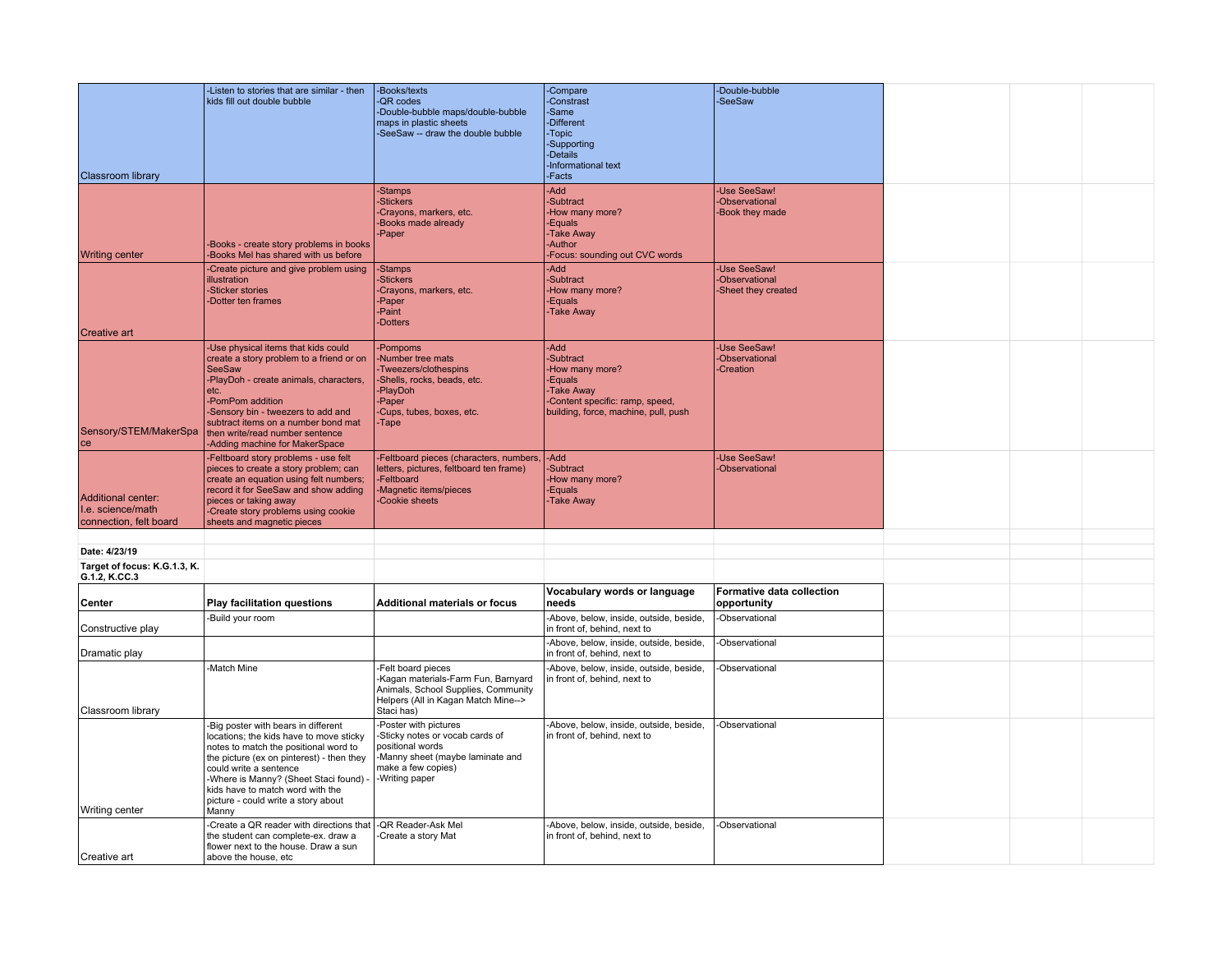|                                                                   | -Listen to stories that are similar - then<br>kids fill out double bubble                                                                                                                                                                                                                                                 | -Books/texts<br>-QR codes<br>-Double-bubble maps/double-bubble<br>maps in plastic sheets                                                                | -Compare<br>-Constrast<br>-Same<br>-Different                                                                                                      | -Double-bubble<br>-SeeSaw                             |  |  |
|-------------------------------------------------------------------|---------------------------------------------------------------------------------------------------------------------------------------------------------------------------------------------------------------------------------------------------------------------------------------------------------------------------|---------------------------------------------------------------------------------------------------------------------------------------------------------|----------------------------------------------------------------------------------------------------------------------------------------------------|-------------------------------------------------------|--|--|
|                                                                   |                                                                                                                                                                                                                                                                                                                           | -SeeSaw -- draw the double bubble                                                                                                                       | -Topic<br>-Supporting<br>-Details<br>-Informational text                                                                                           |                                                       |  |  |
| <b>Classroom library</b>                                          |                                                                                                                                                                                                                                                                                                                           | -Stamps                                                                                                                                                 | -Facts<br><b>Add</b>                                                                                                                               | -Use SeeSaw!                                          |  |  |
| <b>Writing center</b>                                             | Books - create story problems in books<br>Books Mel has shared with us before                                                                                                                                                                                                                                             | -Stickers<br>Crayons, markers, etc.<br>-Books made already<br>-Paper                                                                                    | -Subtract<br>How many more?<br>-Equals<br>-Take Away<br>-Author<br>Focus: sounding out CVC words                                                   | -Observational<br>-Book they made                     |  |  |
|                                                                   | Create picture and give problem using<br>illustration<br><b>Sticker stories</b><br>Dotter ten frames                                                                                                                                                                                                                      | -Stamps<br>-Stickers<br>-Crayons, markers, etc.<br>-Paper<br>-Paint<br>-Dotters                                                                         | <b>Add</b><br>-Subtract<br>How many more?<br>Equals-<br>-Take Away                                                                                 | -Use SeeSaw!<br>-Observational<br>-Sheet they created |  |  |
| Creative art                                                      |                                                                                                                                                                                                                                                                                                                           |                                                                                                                                                         |                                                                                                                                                    |                                                       |  |  |
| Sensory/STEM/MakerSpa                                             | Use physical items that kids could<br>create a story problem to a friend or on<br><b>SeeSaw</b><br>PlayDoh - create animals, characters,<br>letc.<br>PomPom addition<br>Sensory bin - tweezers to add and<br>subtract items on a number bond mat<br>then write/read number sentence<br>-Adding machine for MakerSpace     | -Pompoms<br>-Number tree mats<br>-Tweezers/clothespins<br>-Shells, rocks, beads, etc.<br>-PlayDoh<br>-Paper<br>-Cups, tubes, boxes, etc.<br>-Tape       | <b>Add</b><br>-Subtract<br>How many more?<br>-Equals<br><b>Take Away</b><br>Content specific: ramp, speed,<br>building, force, machine, pull, push | -Use SeeSaw!<br>-Observational<br>-Creation           |  |  |
| Additional center:<br>I.e. science/math<br>connection, felt board | -Feltboard story problems - use felt<br>pieces to create a story problem; can<br>create an equation using felt numbers;<br>record it for SeeSaw and show adding<br>pieces or taking away<br>-Create story problems using cookie<br>sheets and magnetic pieces                                                             | -Feltboard pieces (characters, numbers,<br>letters, pictures, feltboard ten frame)<br>-Feltboard<br>-Magnetic items/pieces<br>Cookie sheets             | <b>Add</b><br>-Subtract<br>How many more?<br>-Equals<br>-Take Away                                                                                 | -Use SeeSaw!<br>-Observational                        |  |  |
|                                                                   |                                                                                                                                                                                                                                                                                                                           |                                                                                                                                                         |                                                                                                                                                    |                                                       |  |  |
| Date: 4/23/19                                                     |                                                                                                                                                                                                                                                                                                                           |                                                                                                                                                         |                                                                                                                                                    |                                                       |  |  |
| Target of focus: K.G.1.3, K.<br>G.1.2, K.CC.3                     |                                                                                                                                                                                                                                                                                                                           |                                                                                                                                                         |                                                                                                                                                    |                                                       |  |  |
| Center                                                            | <b>Play facilitation questions</b>                                                                                                                                                                                                                                                                                        | <b>Additional materials or focus</b>                                                                                                                    | Vocabulary words or language<br>needs                                                                                                              | Formative data collection<br>opportunity              |  |  |
| Constructive play                                                 | Build your room                                                                                                                                                                                                                                                                                                           |                                                                                                                                                         | -Above, below, inside, outside, beside,<br>in front of, behind, next to                                                                            | -Observational                                        |  |  |
| Dramatic play                                                     |                                                                                                                                                                                                                                                                                                                           |                                                                                                                                                         | -Above, below, inside, outside, beside,<br>in front of, behind, next to                                                                            | -Observational                                        |  |  |
| Classroom library                                                 | Match Mine                                                                                                                                                                                                                                                                                                                | Felt board pieces<br>-Kagan materials-Farm Fun, Barnyard<br>Animals, School Supplies, Community<br>Helpers (All in Kagan Match Mine--><br>Staci has)    | -Above, below, inside, outside, beside,<br>in front of, behind, next to                                                                            | -Observational                                        |  |  |
| <b>Writing center</b>                                             | Big poster with bears in different<br>locations; the kids have to move sticky<br>notes to match the positional word to<br>the picture (ex on pinterest) - then they<br>could write a sentence<br>-Where is Manny? (Sheet Staci found)<br>kids have to match word with the<br>picture - could write a story about<br>Manny | Poster with pictures<br>-Sticky notes or vocab cards of<br>positional words<br>-Manny sheet (maybe laminate and<br>make a few copies)<br>-Writing paper | -Above, below, inside, outside, beside,<br>in front of, behind, next to                                                                            | -Observational                                        |  |  |
|                                                                   | Create a QR reader with directions that<br>the student can complete-ex. draw a<br>flower next to the house. Draw a sun                                                                                                                                                                                                    | -QR Reader-Ask Mel<br>-Create a story Mat                                                                                                               | -Above, below, inside, outside, beside,<br>in front of, behind, next to                                                                            | -Observational                                        |  |  |
| Creative art                                                      | above the house, etc                                                                                                                                                                                                                                                                                                      |                                                                                                                                                         |                                                                                                                                                    |                                                       |  |  |